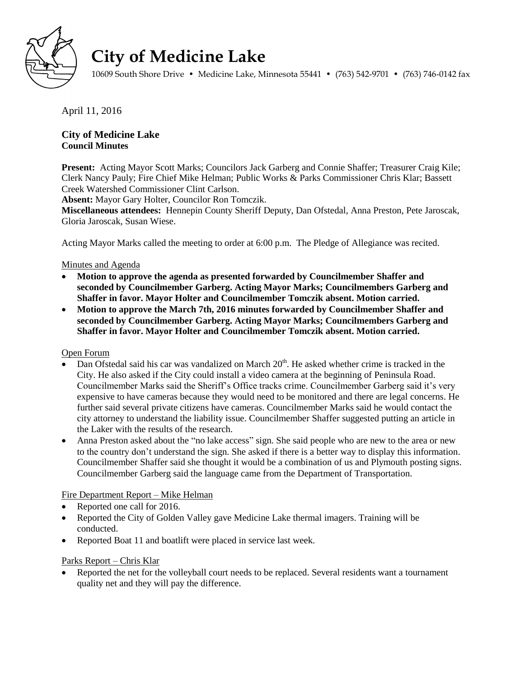

# **City of Medicine Lake**

10609 South Shore Drive • Medicine Lake, Minnesota 55441 • (763) 542-9701 • (763) 746-0142 fax

April 11, 2016

# **City of Medicine Lake Council Minutes**

**Present:** Acting Mayor Scott Marks; Councilors Jack Garberg and Connie Shaffer; Treasurer Craig Kile; Clerk Nancy Pauly; Fire Chief Mike Helman; Public Works & Parks Commissioner Chris Klar; Bassett Creek Watershed Commissioner Clint Carlson.

**Absent:** Mayor Gary Holter, Councilor Ron Tomczik.

**Miscellaneous attendees:** Hennepin County Sheriff Deputy, Dan Ofstedal, Anna Preston, Pete Jaroscak, Gloria Jaroscak, Susan Wiese.

Acting Mayor Marks called the meeting to order at 6:00 p.m. The Pledge of Allegiance was recited.

# Minutes and Agenda

- **Motion to approve the agenda as presented forwarded by Councilmember Shaffer and seconded by Councilmember Garberg. Acting Mayor Marks; Councilmembers Garberg and Shaffer in favor. Mayor Holter and Councilmember Tomczik absent. Motion carried.**
- **Motion to approve the March 7th, 2016 minutes forwarded by Councilmember Shaffer and seconded by Councilmember Garberg. Acting Mayor Marks; Councilmembers Garberg and Shaffer in favor. Mayor Holter and Councilmember Tomczik absent. Motion carried.**

# Open Forum

- Dan Ofstedal said his car was vandalized on March 20<sup>th</sup>. He asked whether crime is tracked in the City. He also asked if the City could install a video camera at the beginning of Peninsula Road. Councilmember Marks said the Sheriff's Office tracks crime. Councilmember Garberg said it's very expensive to have cameras because they would need to be monitored and there are legal concerns. He further said several private citizens have cameras. Councilmember Marks said he would contact the city attorney to understand the liability issue. Councilmember Shaffer suggested putting an article in the Laker with the results of the research.
- Anna Preston asked about the "no lake access" sign. She said people who are new to the area or new to the country don't understand the sign. She asked if there is a better way to display this information. Councilmember Shaffer said she thought it would be a combination of us and Plymouth posting signs. Councilmember Garberg said the language came from the Department of Transportation.

# Fire Department Report – Mike Helman

- Reported one call for 2016.
- Reported the City of Golden Valley gave Medicine Lake thermal imagers. Training will be conducted.
- Reported Boat 11 and boatlift were placed in service last week.

## Parks Report – Chris Klar

 Reported the net for the volleyball court needs to be replaced. Several residents want a tournament quality net and they will pay the difference.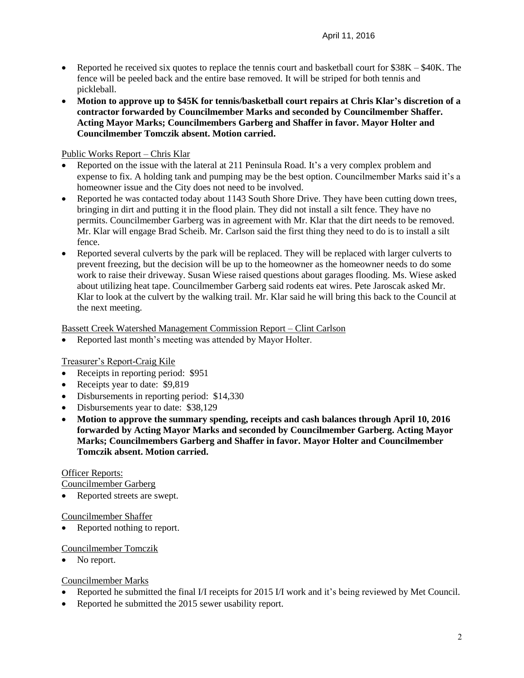- Reported he received six quotes to replace the tennis court and basketball court for \$38K \$40K. The fence will be peeled back and the entire base removed. It will be striped for both tennis and pickleball.
- **Motion to approve up to \$45K for tennis/basketball court repairs at Chris Klar's discretion of a contractor forwarded by Councilmember Marks and seconded by Councilmember Shaffer. Acting Mayor Marks; Councilmembers Garberg and Shaffer in favor. Mayor Holter and Councilmember Tomczik absent. Motion carried.**

# Public Works Report – Chris Klar

- Reported on the issue with the lateral at 211 Peninsula Road. It's a very complex problem and expense to fix. A holding tank and pumping may be the best option. Councilmember Marks said it's a homeowner issue and the City does not need to be involved.
- Reported he was contacted today about 1143 South Shore Drive. They have been cutting down trees, bringing in dirt and putting it in the flood plain. They did not install a silt fence. They have no permits. Councilmember Garberg was in agreement with Mr. Klar that the dirt needs to be removed. Mr. Klar will engage Brad Scheib. Mr. Carlson said the first thing they need to do is to install a silt fence.
- Reported several culverts by the park will be replaced. They will be replaced with larger culverts to prevent freezing, but the decision will be up to the homeowner as the homeowner needs to do some work to raise their driveway. Susan Wiese raised questions about garages flooding. Ms. Wiese asked about utilizing heat tape. Councilmember Garberg said rodents eat wires. Pete Jaroscak asked Mr. Klar to look at the culvert by the walking trail. Mr. Klar said he will bring this back to the Council at the next meeting.

## Bassett Creek Watershed Management Commission Report – Clint Carlson

Reported last month's meeting was attended by Mayor Holter.

## Treasurer's Report-Craig Kile

- Receipts in reporting period: \$951
- Receipts year to date: \$9,819
- Disbursements in reporting period: \$14,330
- Disbursements year to date: \$38,129
- **Motion to approve the summary spending, receipts and cash balances through April 10, 2016 forwarded by Acting Mayor Marks and seconded by Councilmember Garberg. Acting Mayor Marks; Councilmembers Garberg and Shaffer in favor. Mayor Holter and Councilmember Tomczik absent. Motion carried.**

## Officer Reports:

Councilmember Garberg

Reported streets are swept.

## Councilmember Shaffer

Reported nothing to report.

## Councilmember Tomczik

No report.

## Councilmember Marks

- Reported he submitted the final I/I receipts for 2015 I/I work and it's being reviewed by Met Council.
- Reported he submitted the 2015 sewer usability report.